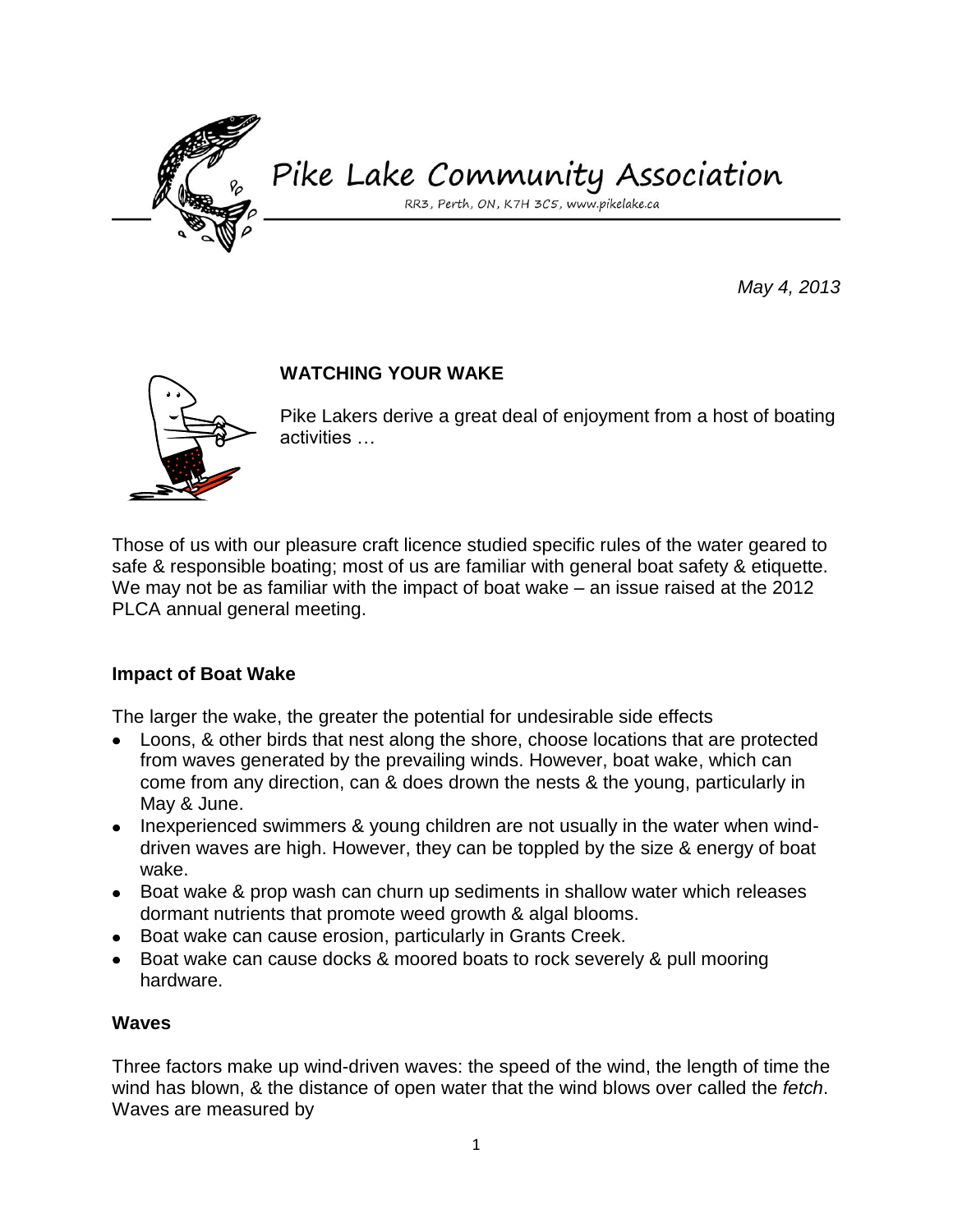

# Pike Lake Community Association

RR3, Perth, ON, K7H 3C5, www.pikelake.ca

*May 4, 2013*



## **WATCHING YOUR WAKE**

Pike Lakers derive a great deal of enjoyment from a host of boating activities …

Those of us with our pleasure craft licence studied specific rules of the water geared to safe & responsible boating; most of us are familiar with general boat safety & etiquette. We may not be as familiar with the impact of boat wake – an issue raised at the 2012 PLCA annual general meeting.

### **Impact of Boat Wake**

The larger the wake, the greater the potential for undesirable side effects

- Loons, & other birds that nest along the shore, choose locations that are protected from waves generated by the prevailing winds. However, boat wake, which can come from any direction, can & does drown the nests & the young, particularly in May & June.
- Inexperienced swimmers & young children are not usually in the water when winddriven waves are high. However, they can be toppled by the size & energy of boat wake.
- Boat wake & prop wash can churn up sediments in shallow water which releases dormant nutrients that promote weed growth & algal blooms.
- Boat wake can cause erosion, particularly in Grants Creek.
- Boat wake can cause docks & moored boats to rock severely & pull mooring hardware.

#### **Waves**

Three factors make up wind-driven waves: the speed of the wind, the length of time the wind has blown, & the distance of open water that the wind blows over called the *fetch*. Waves are measured by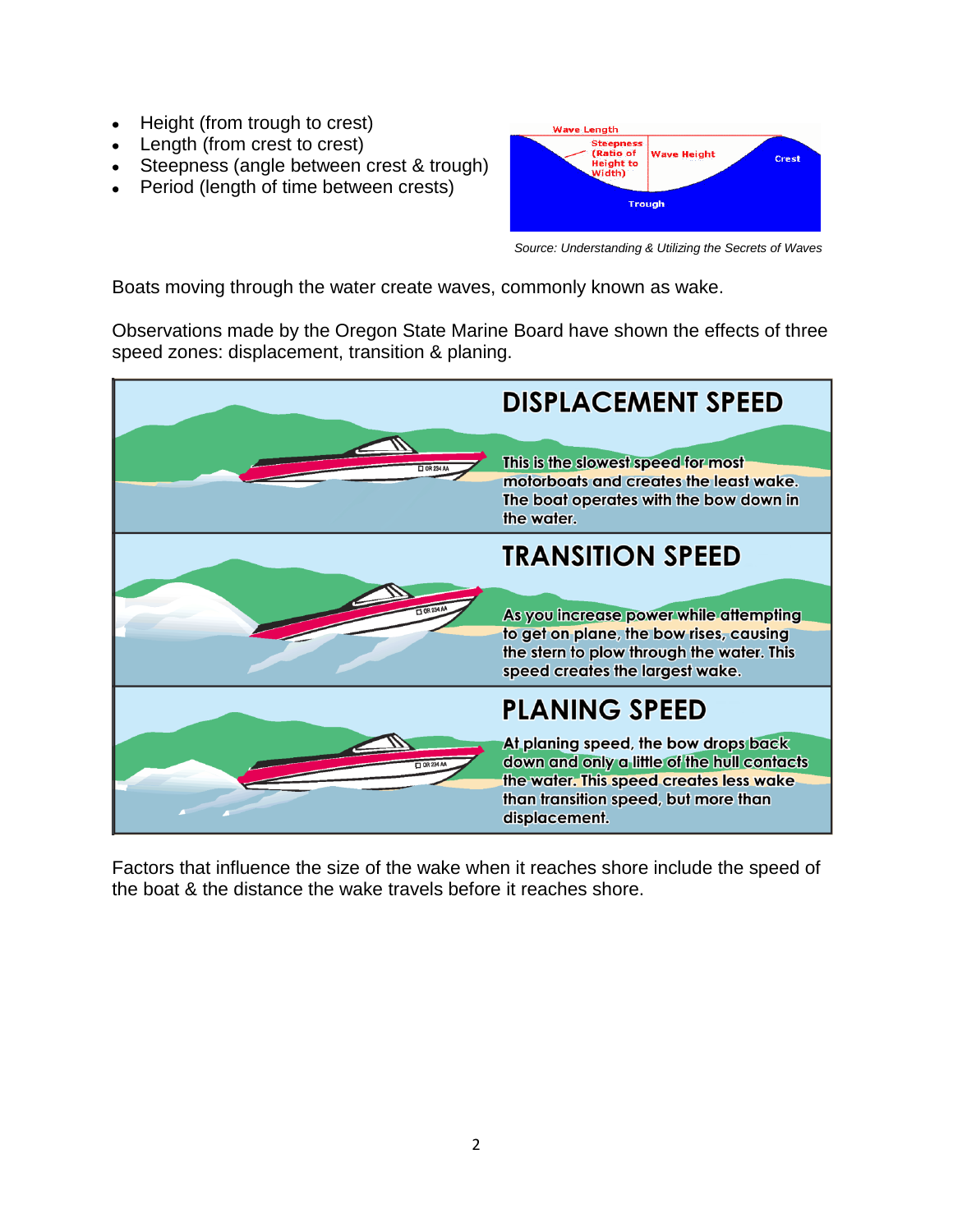- Height (from trough to crest)  $\bullet$
- Length (from crest to crest)
- Steepness (angle between crest & trough)
- Period (length of time between crests)



*Source: Understanding & Utilizing the Secrets of Waves* 

Boats moving through the water create waves, commonly known as wake.

Observations made by the Oregon State Marine Board have shown the effects of three speed zones: displacement, transition & planing.



Factors that influence the size of the wake when it reaches shore include the speed of the boat & the distance the wake travels before it reaches shore.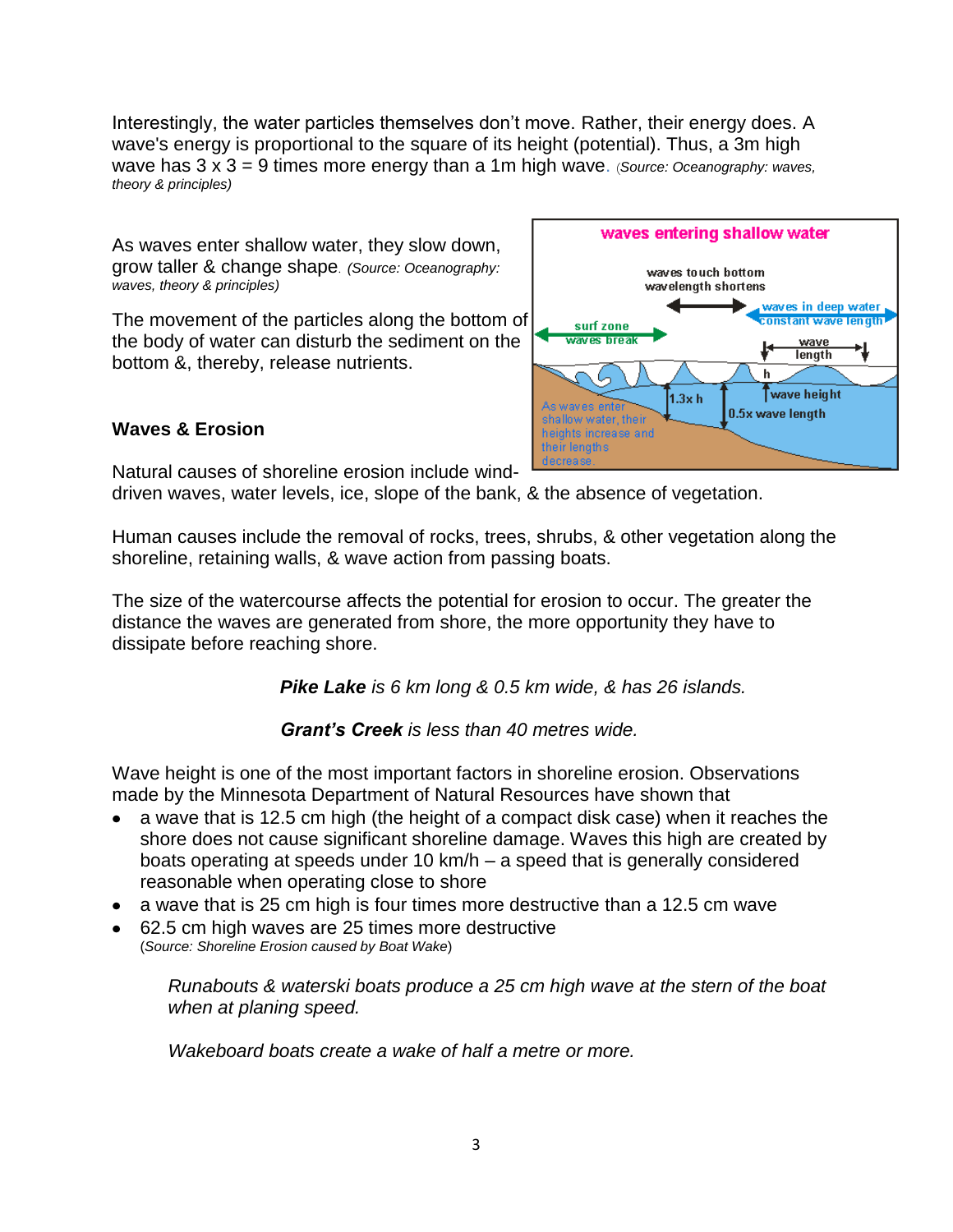Interestingly, the water particles themselves don't move. Rather, their energy does. A wave's energy is proportional to the square of its height (potential). Thus, a 3m high wave has 3 x 3 = 9 times more energy than a 1m high wave. (*Source: Oceanography: waves, theory & principles)*

As waves enter shallow water, they slow down, grow taller & change shape. *(Source: Oceanography: waves, theory & principles)*

The movement of the particles along the bottom of the body of water can disturb the sediment on the bottom &, thereby, release nutrients.



### **Waves & Erosion**

Natural causes of shoreline erosion include wind-

driven waves, water levels, ice, slope of the bank, & the absence of vegetation.

Human causes include the removal of rocks, trees, shrubs, & other vegetation along the shoreline, retaining walls, & wave action from passing boats.

The size of the watercourse affects the potential for erosion to occur. The greater the distance the waves are generated from shore, the more opportunity they have to dissipate before reaching shore.

*Pike Lake is 6 km long & 0.5 km wide, & has 26 islands.*

*Grant's Creek is less than 40 metres wide.*

Wave height is one of the most important factors in shoreline erosion. Observations made by the Minnesota Department of Natural Resources have shown that

- a wave that is 12.5 cm high (the height of a compact disk case) when it reaches the shore does not cause significant shoreline damage. Waves this high are created by boats operating at speeds under 10 km/h – a speed that is generally considered reasonable when operating close to shore
- a wave that is 25 cm high is four times more destructive than a 12.5 cm wave
- 62.5 cm high waves are 25 times more destructive (*Source: Shoreline Erosion caused by Boat Wake*)

*Runabouts & waterski boats produce a 25 cm high wave at the stern of the boat when at planing speed.*

*Wakeboard boats create a wake of half a metre or more.*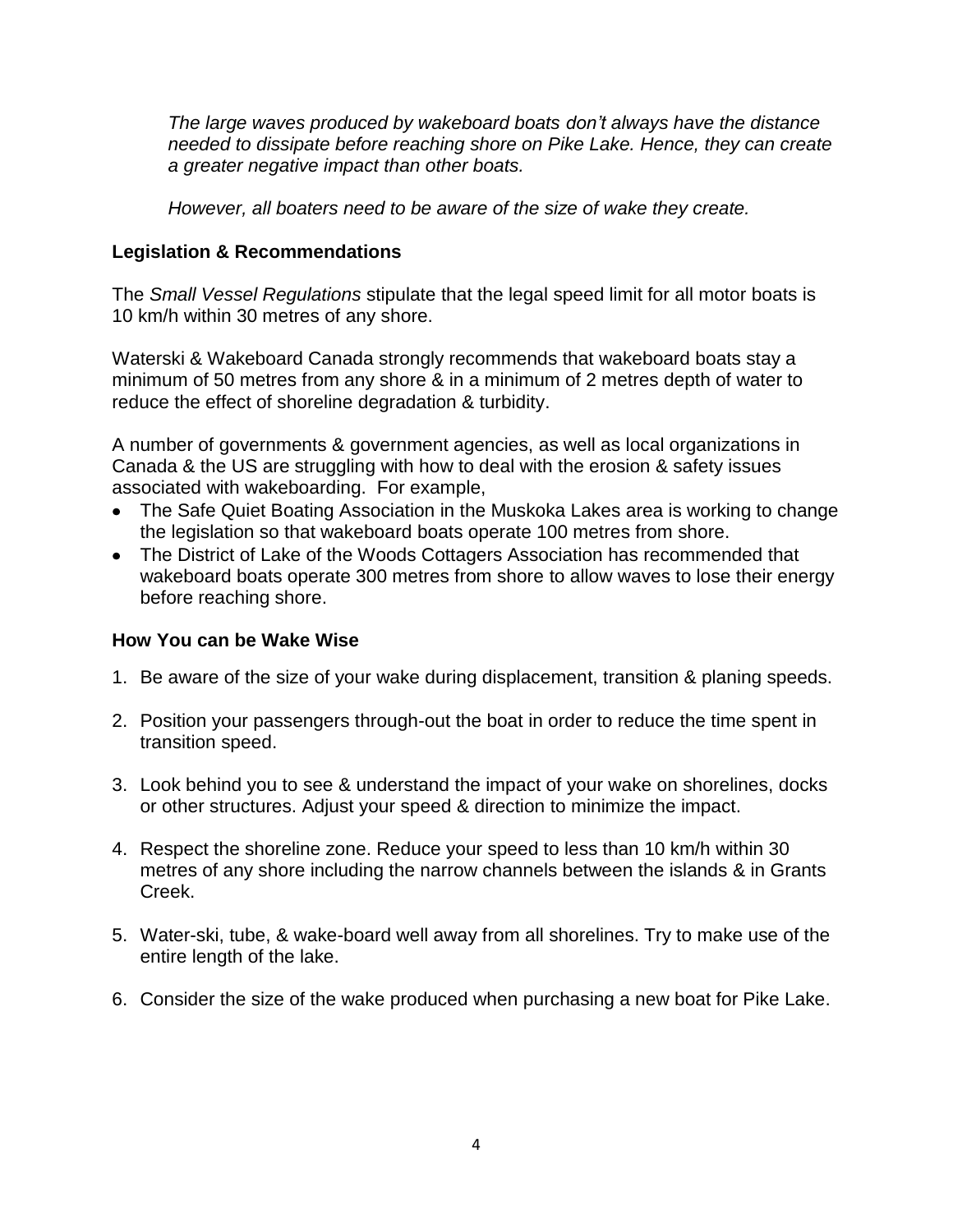*The large waves produced by wakeboard boats don't always have the distance needed to dissipate before reaching shore on Pike Lake. Hence, they can create a greater negative impact than other boats.* 

*However, all boaters need to be aware of the size of wake they create.* 

## **Legislation & Recommendations**

The *Small Vessel Regulations* stipulate that the legal speed limit for all motor boats is 10 km/h within 30 metres of any shore.

Waterski & Wakeboard Canada strongly recommends that wakeboard boats stay a minimum of 50 metres from any shore & in a minimum of 2 metres depth of water to reduce the effect of shoreline degradation & turbidity.

A number of governments & government agencies, as well as local organizations in Canada & the US are struggling with how to deal with the erosion & safety issues associated with wakeboarding. For example,

- The Safe Quiet Boating Association in the Muskoka Lakes area is working to change the legislation so that wakeboard boats operate 100 metres from shore.
- The District of Lake of the Woods Cottagers Association has recommended that wakeboard boats operate 300 metres from shore to allow waves to lose their energy before reaching shore.

### **How You can be Wake Wise**

- 1. Be aware of the size of your wake during displacement, transition & planing speeds.
- 2. Position your passengers through-out the boat in order to reduce the time spent in transition speed.
- 3. Look behind you to see & understand the impact of your wake on shorelines, docks or other structures. Adjust your speed & direction to minimize the impact.
- 4. Respect the shoreline zone. Reduce your speed to less than 10 km/h within 30 metres of any shore including the narrow channels between the islands & in Grants Creek.
- 5. Water-ski, tube, & wake-board well away from all shorelines. Try to make use of the entire length of the lake.
- 6. Consider the size of the wake produced when purchasing a new boat for Pike Lake.